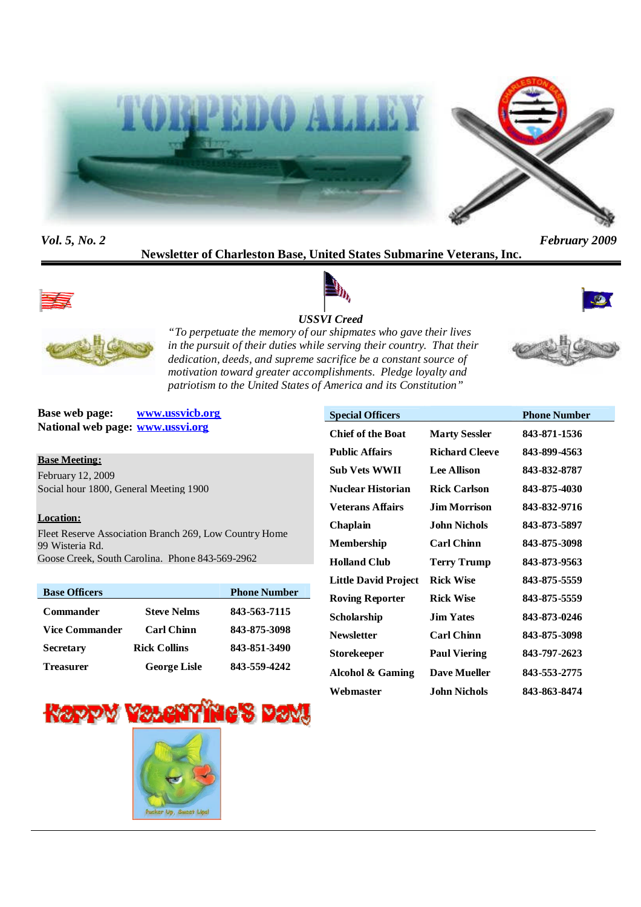

*Vol. 5, No. 2 February 2009*

# **Newsletter of Charleston Base, United States Submarine Veterans, Inc.**









*USSVI Creed "To perpetuate the memory of our shipmates who gave their lives in the pursuit of their duties while serving their country. That their dedication, deeds, and supreme sacrifice be a constant source of motivation toward greater accomplishments. Pledge loyalty and patriotism to the United States of America and its Constitution"*

**Base web page: www.ussvicb.org National web page: www.ussvi.org**

#### **Base Meeting:**

February 12, 2009 Social hour 1800, General Meeting 1900

#### **Location:**

Fleet Reserve Association Branch 269, Low Country Home 99 Wisteria Rd. Goose Creek, South Carolina. Phone 843-569-2962

| <b>Base Officers</b>  |                     | <b>Phone Number</b> |
|-----------------------|---------------------|---------------------|
| <b>Commander</b>      | <b>Steve Nelms</b>  | 843-563-7115        |
| <b>Vice Commander</b> | <b>Carl Chinn</b>   | 843-875-3098        |
| <b>Secretary</b>      | <b>Rick Collins</b> | 843-851-3490        |
| Treasurer             | <b>George Lisle</b> | 843-559-4242        |





**Special Officers Phone Number** 

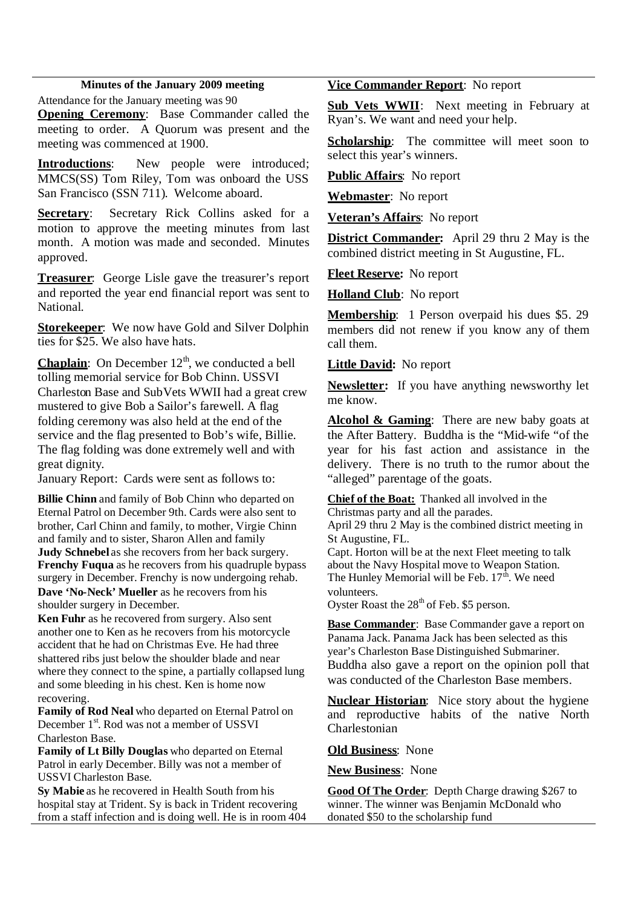#### **Minutes of the January 2009 meeting**

Attendance for the January meeting was 90

**Opening Ceremony**: Base Commander called the meeting to order. A Quorum was present and the meeting was commenced at 1900.

**Introductions**: New people were introduced; MMCS(SS) Tom Riley, Tom was onboard the USS San Francisco (SSN 711). Welcome aboard.

**Secretary**: Secretary Rick Collins asked for a motion to approve the meeting minutes from last month. A motion was made and seconded. Minutes approved.

**Treasurer**: George Lisle gave the treasurer's report and reported the year end financial report was sent to National.

**Storekeeper**: We now have Gold and Silver Dolphin ties for \$25. We also have hats.

**Chaplain**: On December 12<sup>th</sup>, we conducted a bell tolling memorial service for Bob Chinn. USSVI Charleston Base and SubVets WWII had a great crew mustered to give Bob a Sailor's farewell. A flag folding ceremony was also held at the end of the service and the flag presented to Bob's wife, Billie. The flag folding was done extremely well and with great dignity.

January Report: Cards were sent as follows to:

**Billie Chinn** and family of Bob Chinn who departed on Eternal Patrol on December 9th. Cards were also sent to brother, Carl Chinn and family, to mother, Virgie Chinn and family and to sister, Sharon Allen and family **Judy Schnebel** as she recovers from her back surgery. **Frenchy Fuqua** as he recovers from his quadruple bypass surgery in December. Frenchy is now undergoing rehab. **Dave 'No-Neck' Mueller** as he recovers from his shoulder surgery in December.

**Ken Fuhr** as he recovered from surgery. Also sent another one to Ken as he recovers from his motorcycle accident that he had on Christmas Eve. He had three shattered ribs just below the shoulder blade and near where they connect to the spine, a partially collapsed lung and some bleeding in his chest. Ken is home now recovering.

**Family of Rod Neal** who departed on Eternal Patrol on December 1<sup>st</sup>. Rod was not a member of USSVI Charleston Base.

**Family of Lt Billy Douglas** who departed on Eternal Patrol in early December. Billy was not a member of USSVI Charleston Base.

**Sy Mabie** as he recovered in Health South from his hospital stay at Trident. Sy is back in Trident recovering from a staff infection and is doing well. He is in room 404

#### **Vice Commander Report**: No report

**Sub Vets WWII**: Next meeting in February at Ryan's. We want and need your help.

**Scholarship**: The committee will meet soon to select this year's winners.

**Public Affairs**: No report

**Webmaster**: No report

**Veteran's Affairs**: No report

**District Commander:** April 29 thru 2 May is the combined district meeting in St Augustine, FL.

**Fleet Reserve:** No report

**Holland Club**: No report

**Membership**: 1 Person overpaid his dues \$5. 29 members did not renew if you know any of them call them.

#### **Little David:** No report

**Newsletter:** If you have anything newsworthy let me know.

**Alcohol & Gaming**: There are new baby goats at the After Battery. Buddha is the "Mid-wife "of the year for his fast action and assistance in the delivery. There is no truth to the rumor about the "alleged" parentage of the goats.

**Chief of the Boat:** Thanked all involved in the Christmas party and all the parades.

April 29 thru 2 May is the combined district meeting in St Augustine, FL.

Capt. Horton will be at the next Fleet meeting to talk about the Navy Hospital move to Weapon Station. The Hunley Memorial will be Feb.  $17<sup>th</sup>$ . We need volunteers.

Oyster Roast the  $28<sup>th</sup>$  of Feb. \$5 person.

**Base Commander**: Base Commander gave a report on Panama Jack. Panama Jack has been selected as this year's Charleston Base Distinguished Submariner. Buddha also gave a report on the opinion poll that was conducted of the Charleston Base members.

**Nuclear Historian**: Nice story about the hygiene and reproductive habits of the native North Charlestonian

**Old Business**: None

**New Business**: None

**Good Of The Order**: Depth Charge drawing \$267 to winner. The winner was Benjamin McDonald who donated \$50 to the scholarship fund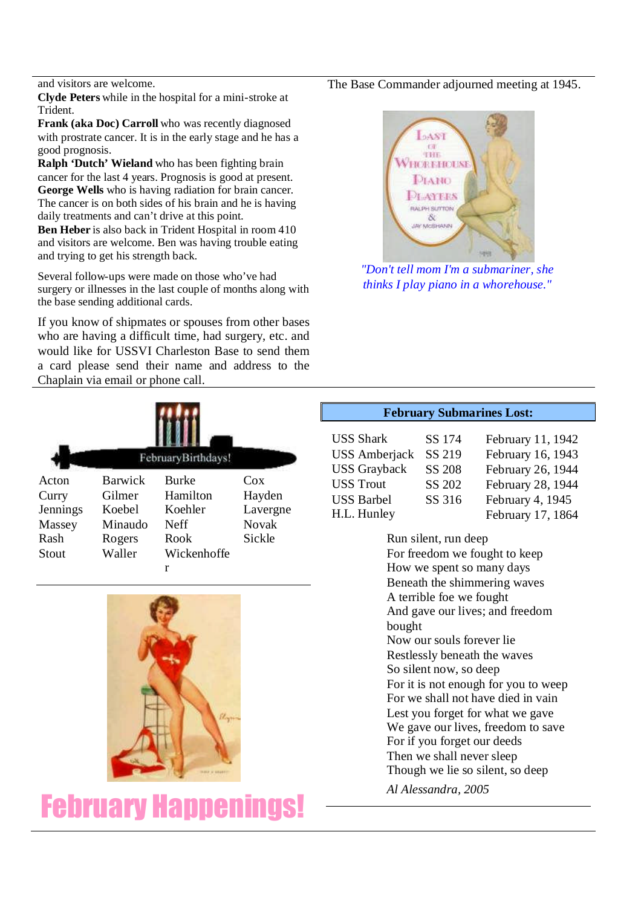and visitors are welcome.

**Clyde Peters** while in the hospital for a mini-stroke at Trident.

**Frank (aka Doc) Carroll** who was recently diagnosed with prostrate cancer. It is in the early stage and he has a good prognosis.

**Ralph 'Dutch' Wieland** who has been fighting brain cancer for the last 4 years. Prognosis is good at present. **George Wells** who is having radiation for brain cancer. The cancer is on both sides of his brain and he is having daily treatments and can't drive at this point.

**Ben Heber** is also back in Trident Hospital in room 410 and visitors are welcome. Ben was having trouble eating and trying to get his strength back.

Several follow-ups were made on those who've had surgery or illnesses in the last couple of months along with the base sending additional cards.

If you know of shipmates or spouses from other bases who are having a difficult time, had surgery, etc. and would like for USSVI Charleston Base to send them a card please send their name and address to the Chaplain via email or phone call.

The Base Commander adjourned meeting at 1945.



*"Don't tell mom I'm a submariner, she thinks I play piano in a whorehouse."*

| FebruaryBirthdays! |                |              |              |  |  |  |
|--------------------|----------------|--------------|--------------|--|--|--|
| Acton              | <b>Barwick</b> | <b>Burke</b> | Cox          |  |  |  |
| Curry              | Gilmer         | Hamilton     | Hayden       |  |  |  |
| Jennings           | Koebel         | Koehler      | Lavergne     |  |  |  |
| Massey             | Minaudo        | Neff         | <b>Novak</b> |  |  |  |
| Rash               | Rogers         | Rook         | Sickle       |  |  |  |
| Stout              | Waller         | Wickenhoffe  |              |  |  |  |
|                    |                | r            |              |  |  |  |



February Happenings!

# **February Submarines Lost:**

| <b>USS Shark</b>     | SS 174        | February 11, 1942 |
|----------------------|---------------|-------------------|
| <b>USS</b> Amberjack | SS 219        | February 16, 1943 |
| <b>USS Grayback</b>  | <b>SS 208</b> | February 26, 1944 |
| <b>USS Trout</b>     | SS 202        | February 28, 1944 |
| <b>USS Barbel</b>    | SS 316        | February 4, 1945  |
| H.L. Hunley          |               | February 17, 1864 |

Run silent, run deep For freedom we fought to keep How we spent so many days Beneath the shimmering waves A terrible foe we fought And gave our lives; and freedom bought Now our souls forever lie Restlessly beneath the waves So silent now, so deep For it is not enough for you to weep For we shall not have died in vain Lest you forget for what we gave We gave our lives, freedom to save For if you forget our deeds Then we shall never sleep Though we lie so silent, so deep

*Al Alessandra, 2005*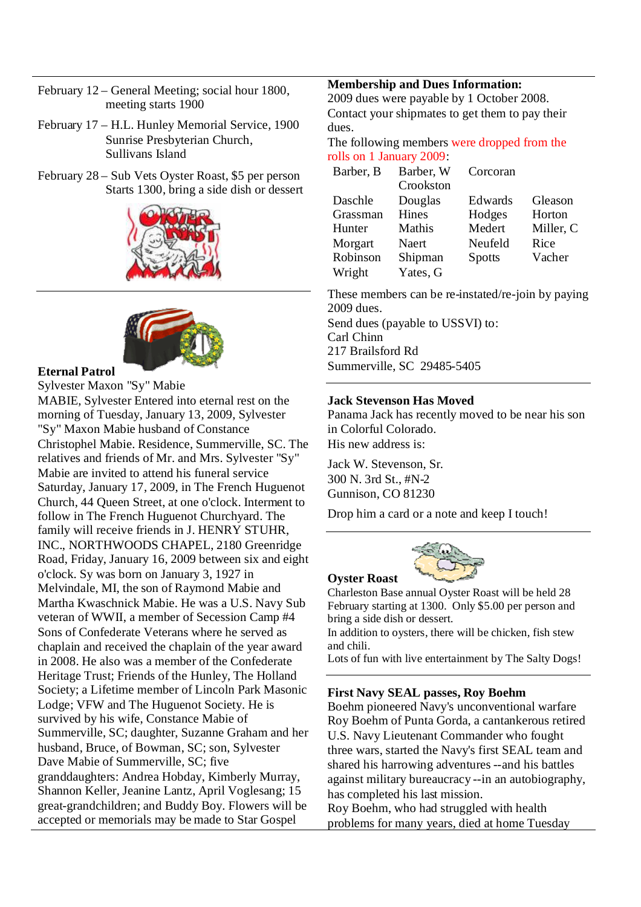- February 12 General Meeting; social hour 1800, meeting starts 1900
- February 17 H.L. Hunley Memorial Service, 1900 Sunrise Presbyterian Church, Sullivans Island
- February 28 Sub Vets Oyster Roast, \$5 per person Starts 1300, bring a side dish or dessert





#### **Eternal Patrol**

Sylvester Maxon "Sy" Mabie MABIE, Sylvester Entered into eternal rest on the morning of Tuesday, January 13, 2009, Sylvester "Sy" Maxon Mabie husband of Constance Christophel Mabie. Residence, Summerville, SC. The relatives and friends of Mr. and Mrs. Sylvester "Sy" Mabie are invited to attend his funeral service Saturday, January 17, 2009, in The French Huguenot Church, 44 Queen Street, at one o'clock. Interment to follow in The French Huguenot Churchyard. The family will receive friends in J. HENRY STUHR, INC., NORTHWOODS CHAPEL, 2180 Greenridge Road, Friday, January 16, 2009 between six and eight o'clock. Sy was born on January 3, 1927 in Melvindale, MI, the son of Raymond Mabie and Martha Kwaschnick Mabie. He was a U.S. Navy Sub veteran of WWII, a member of Secession Camp #4 Sons of Confederate Veterans where he served as chaplain and received the chaplain of the year award in 2008. He also was a member of the Confederate Heritage Trust; Friends of the Hunley, The Holland Society; a Lifetime member of Lincoln Park Masonic Lodge; VFW and The Huguenot Society. He is survived by his wife, Constance Mabie of Summerville, SC; daughter, Suzanne Graham and her husband, Bruce, of Bowman, SC; son, Sylvester Dave Mabie of Summerville, SC; five granddaughters: Andrea Hobday, Kimberly Murray, Shannon Keller, Jeanine Lantz, April Voglesang; 15 great-grandchildren; and Buddy Boy. Flowers will be accepted or memorials may be made to Star Gospel

### **Membership and Dues Information:**

2009 dues were payable by 1 October 2008. Contact your shipmates to get them to pay their dues.

The following members were dropped from the rolls on 1 January 2009:

| Barber, B | Barber, W<br>Crookston | Corcoran      |           |
|-----------|------------------------|---------------|-----------|
| Daschle   | Douglas                | Edwards       | Gleason   |
| Grassman  | <b>Hines</b>           | Hodges        | Horton    |
| Hunter    | Mathis                 | Medert        | Miller, C |
| Morgart   | Naert                  | Neufeld       | Rice      |
| Robinson  | Shipman                | <b>Spotts</b> | Vacher    |
| Wright    | Yates, G               |               |           |

These members can be re-instated/re-join by paying 2009 dues. Send dues (payable to USSVI) to: Carl Chinn 217 Brailsford Rd Summerville, SC 29485-5405

### **Jack Stevenson Has Moved**

Panama Jack has recently moved to be near his son in Colorful Colorado. His new address is:

Jack W. Stevenson, Sr. 300 N. 3rd St., #N-2 Gunnison, CO 81230

**Oyster Roast**

Drop him a card or a note and keep I touch!



Charleston Base annual Oyster Roast will be held 28 February starting at 1300. Only \$5.00 per person and bring a side dish or dessert.

In addition to oysters, there will be chicken, fish stew and chili.

Lots of fun with live entertainment by The Salty Dogs!

#### **First Navy SEAL passes, Roy Boehm**

Boehm pioneered Navy's unconventional warfare Roy Boehm of Punta Gorda, a cantankerous retired U.S. Navy Lieutenant Commander who fought three wars, started the Navy's first SEAL team and shared his harrowing adventures --and his battles against military bureaucracy --in an autobiography, has completed his last mission.

Roy Boehm, who had struggled with health problems for many years, died at home Tuesday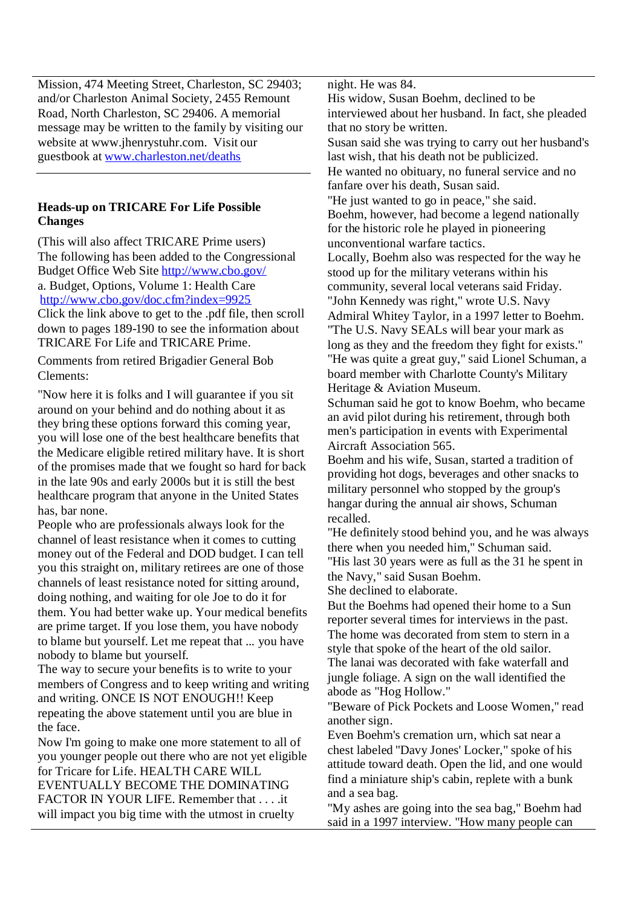Mission, 474 Meeting Street, Charleston, SC 29403; and/or Charleston Animal Society, 2455 Remount Road, North Charleston, SC 29406. A memorial message may be written to the family by visiting our website at www.jhenrystuhr.com. Visit our guestbook at www.charleston.net/deaths

### **Heads-up on TRICARE For Life Possible Changes**

(This will also affect TRICARE Prime users) The following has been added to the Congressional Budget Office Web Site http://www.cbo.gov/ a. Budget, Options, Volume 1: Health Care http://www.cbo.gov/doc.cfm?index=9925 Click the link above to get to the .pdf file, then scroll down to pages 189-190 to see the information about TRICARE For Life and TRICARE Prime.

Comments from retired Brigadier General Bob Clements:

"Now here it is folks and I will guarantee if you sit around on your behind and do nothing about it as they bring these options forward this coming year, you will lose one of the best healthcare benefits that the Medicare eligible retired military have. It is short of the promises made that we fought so hard for back in the late 90s and early 2000s but it is still the best healthcare program that anyone in the United States has, bar none.

People who are professionals always look for the channel of least resistance when it comes to cutting money out of the Federal and DOD budget. I can tell you this straight on, military retirees are one of those channels of least resistance noted for sitting around, doing nothing, and waiting for ole Joe to do it for them. You had better wake up. Your medical benefits are prime target. If you lose them, you have nobody to blame but yourself. Let me repeat that ... you have nobody to blame but yourself.

The way to secure your benefits is to write to your members of Congress and to keep writing and writing and writing. ONCE IS NOT ENOUGH!! Keep repeating the above statement until you are blue in the face.

Now I'm going to make one more statement to all of you younger people out there who are not yet eligible for Tricare for Life. HEALTH CARE WILL EVENTUALLY BECOME THE DOMINATING FACTOR IN YOUR LIFE. Remember that . . . .it will impact you big time with the utmost in cruelty

night. He was 84.

His widow, Susan Boehm, declined to be interviewed about her husband. In fact, she pleaded that no story be written. Susan said she was trying to carry out her husband's last wish, that his death not be publicized. He wanted no obituary, no funeral service and no fanfare over his death, Susan said. "He just wanted to go in peace," she said. Boehm, however, had become a legend nationally for the historic role he played in pioneering unconventional warfare tactics. Locally, Boehm also was respected for the way he stood up for the military veterans within his community, several local veterans said Friday. "John Kennedy was right," wrote U.S. Navy Admiral Whitey Taylor, in a 1997 letter to Boehm. "The U.S. Navy SEALs will bear your mark as long as they and the freedom they fight for exists." "He was quite a great guy," said Lionel Schuman, a board member with Charlotte County's Military Heritage & Aviation Museum. Schuman said he got to know Boehm, who became an avid pilot during his retirement, through both men's participation in events with Experimental Aircraft Association 565. Boehm and his wife, Susan, started a tradition of providing hot dogs, beverages and other snacks to military personnel who stopped by the group's hangar during the annual air shows, Schuman recalled.

"He definitely stood behind you, and he was always there when you needed him," Schuman said. "His last 30 years were as full as the 31 he spent in the Navy," said Susan Boehm.

She declined to elaborate.

But the Boehms had opened their home to a Sun reporter several times for interviews in the past. The home was decorated from stem to stern in a style that spoke of the heart of the old sailor. The lanai was decorated with fake waterfall and jungle foliage. A sign on the wall identified the abode as "Hog Hollow."

"Beware of Pick Pockets and Loose Women," read another sign.

Even Boehm's cremation urn, which sat near a chest labeled "Davy Jones' Locker," spoke of his attitude toward death. Open the lid, and one would find a miniature ship's cabin, replete with a bunk and a sea bag.

"My ashes are going into the sea bag," Boehm had said in a 1997 interview. "How many people can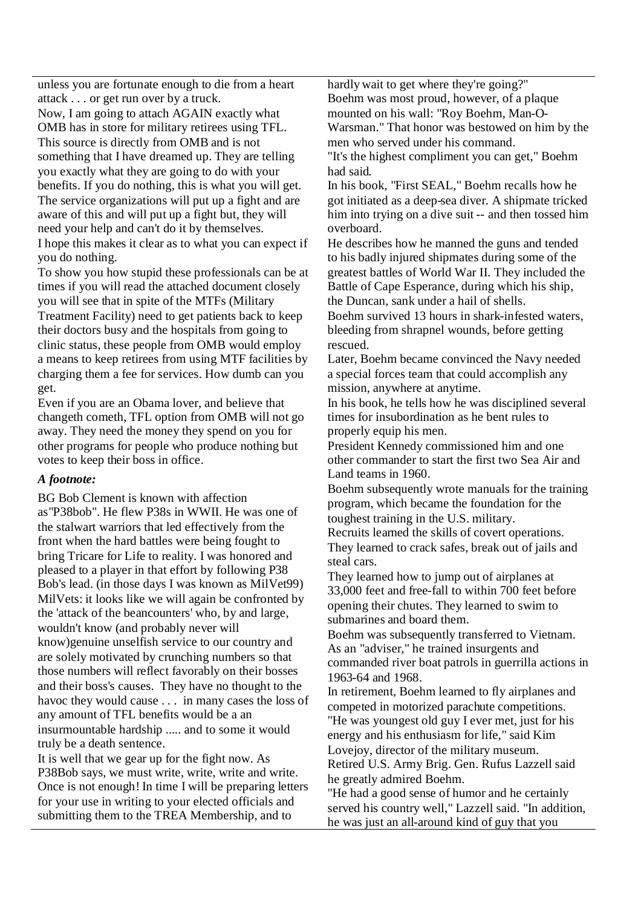unless you are fortunate enough to die from a heart attack . . . or get run over by a truck.

Now, I am going to attach AGAIN exactly what OMB has in store for military retirees using TFL. This source is directly from OMB and is not something that I have dreamed up. They are telling you exactly what they are going to do with your benefits. If you do nothing, this is what you will get. The service organizations will put up a fight and are aware of this and will put up a fight but, they will need your help and can't do it by themselves. I hope this makes it clear as to what you can expect if you do nothing.

To show you how stupid these professionals can be at times if you will read the attached document closely you will see that in spite of the MTFs (Military Treatment Facility) need to get patients back to keep their doctors busy and the hospitals from going to clinic status, these people from OMB would employ a means to keep retirees from using MTF facilities by charging them a fee for services. How dumb can you get.

Even if you are an Obama lover, and believe that changeth cometh, TFL option from OMB will not go away. They need the money they spend on you for other programs for people who produce nothing but votes to keep their boss in office.

### *A footnote:*

BG Bob Clement is known with affection as"P38bob". He flew P38s in WWII. He was one of the stalwart warriors that led effectively from the front when the hard battles were being fought to bring Tricare for Life to reality. I was honored and pleased to a player in that effort by following P38 Bob's lead. (in those days I was known as MilVet99) MilVets: it looks like we will again be confronted by the 'attack of the beancounters' who, by and large, wouldn't know (and probably never will know)genuine unselfish service to our country and are solely motivated by crunching numbers so that those numbers will reflect favorably on their bosses and their boss's causes. They have no thought to the havoc they would cause . . . in many cases the loss of any amount of TFL benefits would be a an insurmountable hardship ..... and to some it would truly be a death sentence.

It is well that we gear up for the fight now. As P38Bob says, we must write, write, write and write. Once is not enough! In time I will be preparing letters for your use in writing to your elected officials and submitting them to the TREA Membership, and to

hardly wait to get where they're going?" Boehm was most proud, however, of a plaque mounted on his wall: "Roy Boehm, Man-O-Warsman." That honor was bestowed on him by the men who served under his command.

"It's the highest compliment you can get," Boehm had said.

In his book, "First SEAL," Boehm recalls how he got initiated as a deep-sea diver. A shipmate tricked him into trying on a dive suit -- and then tossed him overboard.

He describes how he manned the guns and tended to his badly injured shipmates during some of the greatest battles of World War II. They included the Battle of Cape Esperance, during which his ship, the Duncan, sank under a hail of shells.

Boehm survived 13 hours in shark-infested waters, bleeding from shrapnel wounds, before getting rescued.

Later, Boehm became convinced the Navy needed a special forces team that could accomplish any mission, anywhere at anytime.

In his book, he tells how he was disciplined several times for insubordination as he bent rules to properly equip his men.

President Kennedy commissioned him and one other commander to start the first two Sea Air and Land teams in 1960.

Boehm subsequently wrote manuals for the training program, which became the foundation for the toughest training in the U.S. military.

Recruits learned the skills of covert operations. They learned to crack safes, break out of jails and steal cars.

They learned how to jump out of airplanes at 33,000 feet and free-fall to within 700 feet before opening their chutes. They learned to swim to submarines and board them.

Boehm was subsequently transferred to Vietnam. As an "adviser," he trained insurgents and commanded river boat patrols in guerrilla actions in 1963-64 and 1968.

In retirement, Boehm learned to fly airplanes and competed in motorized parachute competitions. "He was youngest old guy I ever met, just for his energy and his enthusiasm for life," said Kim Lovejoy, director of the military museum.

Retired U.S. Army Brig. Gen. Rufus Lazzell said he greatly admired Boehm.

"He had a good sense of humor and he certainly served his country well," Lazzell said. "In addition, he was just an all-around kind of guy that you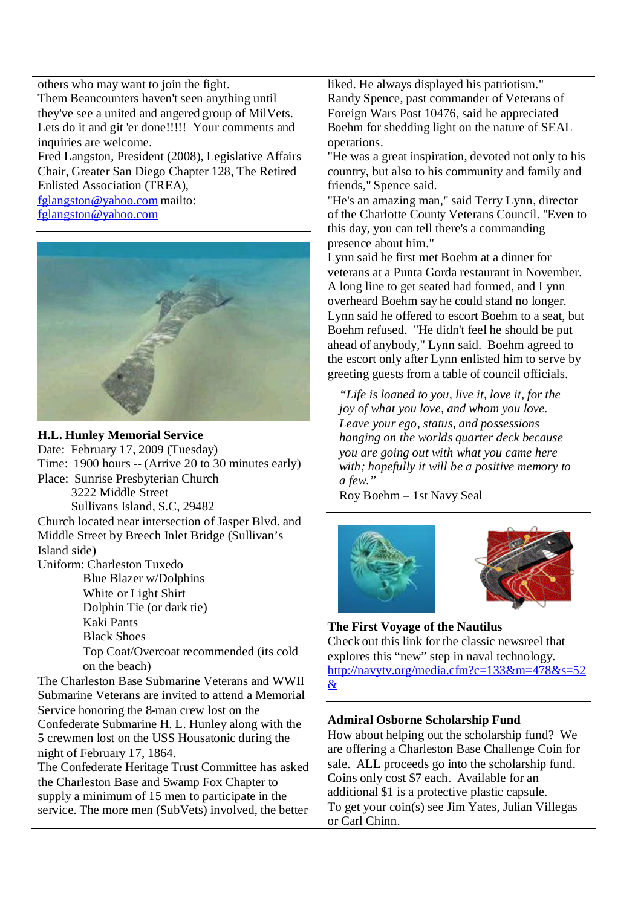others who may want to join the fight. Them Beancounters haven't seen anything until they've see a united and angered group of MilVets. Lets do it and git 'er done!!!!! Your comments and inquiries are welcome. Fred Langston, President (2008), Legislative Affairs

Chair, Greater San Diego Chapter 128, The Retired Enlisted Association (TREA), fglangston@yahoo.com mailto:

fglangston@yahoo.com





# **H.L. Hunley Memorial Service**

Date: February 17, 2009 (Tuesday) Time: 1900 hours -- (Arrive 20 to 30 minutes early) Place: Sunrise Presbyterian Church 3222 Middle Street Sullivans Island, S.C, 29482 Church located near intersection of Jasper Blvd. and Middle Street by Breech Inlet Bridge (Sullivan's Island side) Uniform: Charleston Tuxedo Blue Blazer w/Dolphins White or Light Shirt Dolphin Tie (or dark tie) Kaki Pants Black Shoes Top Coat/Overcoat recommended (its cold on the beach)

The Charleston Base Submarine Veterans and WWII Submarine Veterans are invited to attend a Memorial Service honoring the 8-man crew lost on the Confederate Submarine H. L. Hunley along with the 5 crewmen lost on the USS Housatonic during the night of February 17, 1864.

The Confederate Heritage Trust Committee has asked the Charleston Base and Swamp Fox Chapter to supply a minimum of 15 men to participate in the service. The more men (SubVets) involved, the better liked. He always displayed his patriotism." Randy Spence, past commander of Veterans of Foreign Wars Post 10476, said he appreciated Boehm for shedding light on the nature of SEAL operations.

"He was a great inspiration, devoted not only to his country, but also to his community and family and friends," Spence said.

"He's an amazing man," said Terry Lynn, director of the Charlotte County Veterans Council. "Even to this day, you can tell there's a commanding presence about him."

Lynn said he first met Boehm at a dinner for veterans at a Punta Gorda restaurant in November. A long line to get seated had formed, and Lynn overheard Boehm say he could stand no longer. Lynn said he offered to escort Boehm to a seat, but Boehm refused. "He didn't feel he should be put ahead of anybody," Lynn said. Boehm agreed to the escort only after Lynn enlisted him to serve by greeting guests from a table of council officials.

*"Life is loaned to you, live it, love it, for the joy of what you love, and whom you love. Leave your ego, status, and possessions hanging on the worlds quarter deck because you are going out with what you came here with; hopefully it will be a positive memory to a few."*

Roy Boehm – 1st Navy Seal





**The First Voyage of the Nautilus** Check out this link for the classic newsreel that explores this "new" step in naval technology. http://navytv.org/media.cfm?c=133&m=478&s=52 &

### **Admiral Osborne Scholarship Fund**

How about helping out the scholarship fund? We are offering a Charleston Base Challenge Coin for sale. ALL proceeds go into the scholarship fund. Coins only cost \$7 each. Available for an additional \$1 is a protective plastic capsule. To get your coin(s) see Jim Yates, Julian Villegas or Carl Chinn.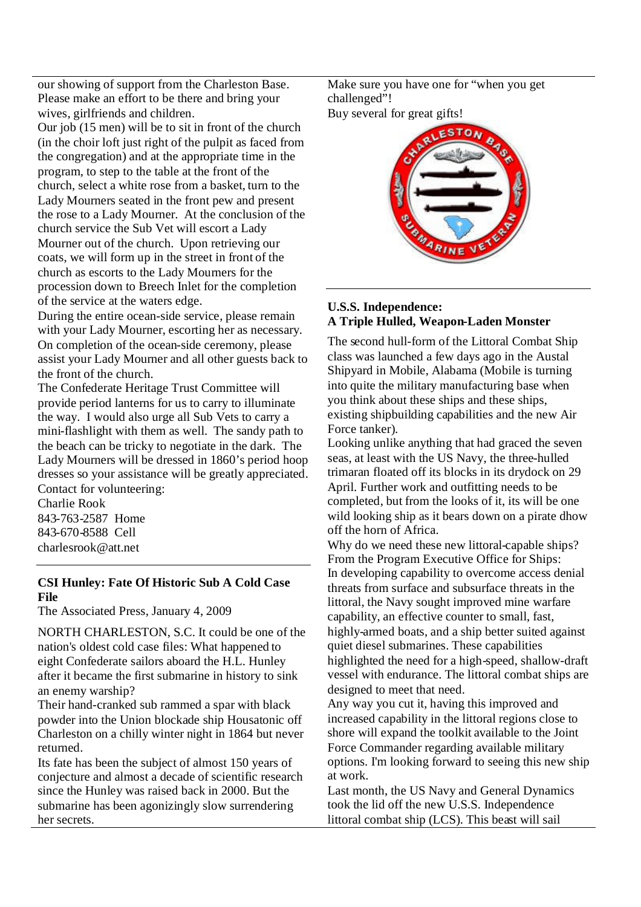our showing of support from the Charleston Base. Please make an effort to be there and bring your wives, girlfriends and children.

Our job (15 men) will be to sit in front of the church (in the choir loft just right of the pulpit as faced from the congregation) and at the appropriate time in the program, to step to the table at the front of the church, select a white rose from a basket, turn to the Lady Mourners seated in the front pew and present the rose to a Lady Mourner. At the conclusion of the church service the Sub Vet will escort a Lady Mourner out of the church. Upon retrieving our coats, we will form up in the street in front of the church as escorts to the Lady Mourners for the procession down to Breech Inlet for the completion of the service at the waters edge.

During the entire ocean-side service, please remain with your Lady Mourner, escorting her as necessary. On completion of the ocean-side ceremony, please assist your Lady Mourner and all other guests back to the front of the church.

The Confederate Heritage Trust Committee will provide period lanterns for us to carry to illuminate the way. I would also urge all Sub Vets to carry a mini-flashlight with them as well. The sandy path to the beach can be tricky to negotiate in the dark. The Lady Mourners will be dressed in 1860's period hoop dresses so your assistance will be greatly appreciated. Contact for volunteering:

Charlie Rook 843-763-2587 Home 843-670-8588 Cell charlesrook@att.net

# **CSI Hunley: Fate Of Historic Sub A Cold Case File**

The Associated Press, January 4, 2009

NORTH CHARLESTON, S.C. It could be one of the nation's oldest cold case files: What happened to eight Confederate sailors aboard the H.L. Hunley after it became the first submarine in history to sink an enemy warship?

Their hand-cranked sub rammed a spar with black powder into the Union blockade ship Housatonic off Charleston on a chilly winter night in 1864 but never returned.

Its fate has been the subject of almost 150 years of conjecture and almost a decade of scientific research since the Hunley was raised back in 2000. But the submarine has been agonizingly slow surrendering her secrets.

Make sure you have one for "when you get challenged"! Buy several for great gifts!



# **U.S.S. Independence: A Triple Hulled, Weapon-Laden Monster**

The second hull-form of the Littoral Combat Ship class was launched a few days ago in the Austal Shipyard in Mobile, Alabama (Mobile is turning into quite the military manufacturing base when you think about these ships and these ships, existing shipbuilding capabilities and the new Air Force tanker).

Looking unlike anything that had graced the seven seas, at least with the US Navy, the three-hulled trimaran floated off its blocks in its drydock on 29 April. Further work and outfitting needs to be completed, but from the looks of it, its will be one wild looking ship as it bears down on a pirate dhow off the horn of Africa.

Why do we need these new littoral-capable ships? From the Program Executive Office for Ships: In developing capability to overcome access denial threats from surface and subsurface threats in the littoral, the Navy sought improved mine warfare capability, an effective counter to small, fast, highly-armed boats, and a ship better suited against quiet diesel submarines. These capabilities highlighted the need for a high-speed, shallow-draft vessel with endurance. The littoral combat ships are designed to meet that need.

Any way you cut it, having this improved and increased capability in the littoral regions close to shore will expand the toolkit available to the Joint Force Commander regarding available military options. I'm looking forward to seeing this new ship at work.

Last month, the US Navy and General Dynamics took the lid off the new U.S.S. Independence littoral combat ship (LCS). This beast will sail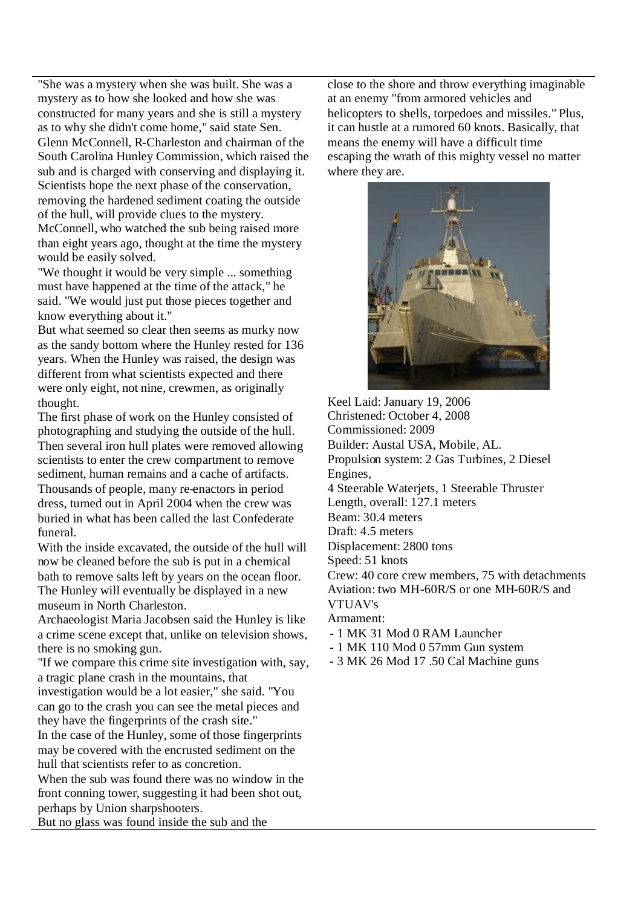"She was a mystery when she was built. She was a mystery as to how she looked and how she was constructed for many years and she is still a mystery as to why she didn't come home," said state Sen. Glenn McConnell, R-Charleston and chairman of the South Carolina Hunley Commission, which raised the sub and is charged with conserving and displaying it. Scientists hope the next phase of the conservation, removing the hardened sediment coating the outside of the hull, will provide clues to the mystery. McConnell, who watched the sub being raised more than eight years ago, thought at the time the mystery would be easily solved.

"We thought it would be very simple ... something must have happened at the time of the attack," he said. "We would just put those pieces together and know everything about it."

But what seemed so clear then seems as murky now as the sandy bottom where the Hunley rested for 136 years. When the Hunley was raised, the design was different from what scientists expected and there were only eight, not nine, crewmen, as originally thought.

The first phase of work on the Hunley consisted of photographing and studying the outside of the hull. Then several iron hull plates were removed allowing scientists to enter the crew compartment to remove sediment, human remains and a cache of artifacts. Thousands of people, many re-enactors in period dress, turned out in April 2004 when the crew was buried in what has been called the last Confederate funeral.

With the inside excavated, the outside of the hull will now be cleaned before the sub is put in a chemical bath to remove salts left by years on the ocean floor. The Hunley will eventually be displayed in a new museum in North Charleston.

Archaeologist Maria Jacobsen said the Hunley is like a crime scene except that, unlike on television shows, there is no smoking gun.

"If we compare this crime site investigation with, say, a tragic plane crash in the mountains, that

investigation would be a lot easier," she said. "You can go to the crash you can see the metal pieces and they have the fingerprints of the crash site."

In the case of the Hunley, some of those fingerprints may be covered with the encrusted sediment on the hull that scientists refer to as concretion.

When the sub was found there was no window in the front conning tower, suggesting it had been shot out, perhaps by Union sharpshooters.

But no glass was found inside the sub and the

close to the shore and throw everything imaginable at an enemy "from armored vehicles and helicopters to shells, torpedoes and missiles." Plus, it can hustle at a rumored 60 knots. Basically, that means the enemy will have a difficult time escaping the wrath of this mighty vessel no matter where they are.



Keel Laid: January 19, 2006 Christened: October 4, 2008 Commissioned: 2009 Builder: Austal USA, Mobile, AL. Propulsion system: 2 Gas Turbines, 2 Diesel Engines, 4 Steerable Waterjets, 1 Steerable Thruster Length, overall: 127.1 meters Beam: 30.4 meters Draft: 4.5 meters Displacement: 2800 tons Speed: 51 knots Crew: 40 core crew members, 75 with detachments Aviation: two MH-60R/S or one MH-60R/S and VTUAV's

Armament:

- 1 MK 31 Mod 0 RAM Launcher
- 1 MK 110 Mod 0 57mm Gun system
- 3 MK 26 Mod 17 .50 Cal Machine guns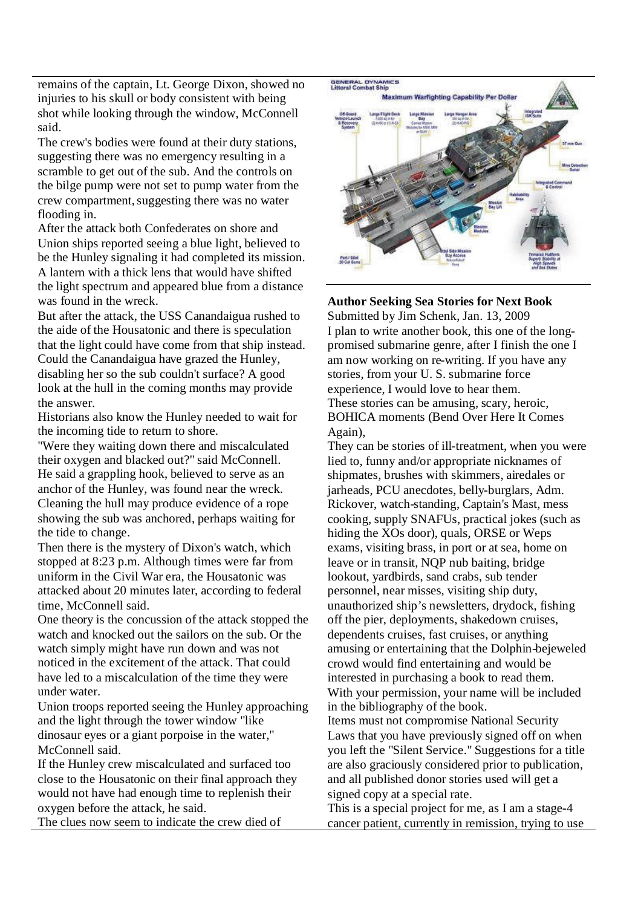remains of the captain, Lt. George Dixon, showed no injuries to his skull or body consistent with being shot while looking through the window, McConnell said.

The crew's bodies were found at their duty stations, suggesting there was no emergency resulting in a scramble to get out of the sub. And the controls on the bilge pump were not set to pump water from the crew compartment,suggesting there was no water flooding in.

After the attack both Confederates on shore and Union ships reported seeing a blue light, believed to be the Hunley signaling it had completed its mission. A lantern with a thick lens that would have shifted the light spectrum and appeared blue from a distance was found in the wreck.

But after the attack, the USS Canandaigua rushed to the aide of the Housatonic and there is speculation that the light could have come from that ship instead. Could the Canandaigua have grazed the Hunley, disabling her so the sub couldn't surface? A good look at the hull in the coming months may provide the answer.

Historians also know the Hunley needed to wait for the incoming tide to return to shore.

"Were they waiting down there and miscalculated their oxygen and blacked out?" said McConnell. He said a grappling hook, believed to serve as an anchor of the Hunley, was found near the wreck. Cleaning the hull may produce evidence of a rope showing the sub was anchored, perhaps waiting for the tide to change.

Then there is the mystery of Dixon's watch, which stopped at 8:23 p.m. Although times were far from uniform in the Civil War era, the Housatonic was attacked about 20 minutes later, according to federal time, McConnell said.

One theory is the concussion of the attack stopped the watch and knocked out the sailors on the sub. Or the watch simply might have run down and was not noticed in the excitement of the attack. That could have led to a miscalculation of the time they were under water.

Union troops reported seeing the Hunley approaching and the light through the tower window "like dinosaur eyes or a giant porpoise in the water," McConnell said.

If the Hunley crew miscalculated and surfaced too close to the Housatonic on their final approach they would not have had enough time to replenish their oxygen before the attack, he said.

The clues now seem to indicate the crew died of



**Author Seeking Sea Stories for Next Book** Submitted by Jim Schenk, Jan. 13, 2009 I plan to write another book, this one of the longpromised submarine genre, after I finish the one I am now working on re-writing. If you have any stories, from your U. S. submarine force experience, I would love to hear them. These stories can be amusing, scary, heroic, BOHICA moments (Bend Over Here It Comes Again),

They can be stories of ill-treatment, when you were lied to, funny and/or appropriate nicknames of shipmates, brushes with skimmers, airedales or jarheads, PCU anecdotes, belly-burglars, Adm. Rickover, watch-standing, Captain's Mast, mess cooking, supply SNAFUs, practical jokes (such as hiding the XOs door), quals, ORSE or Weps exams, visiting brass, in port or at sea, home on leave or in transit, NQP nub baiting, bridge lookout, yardbirds, sand crabs, sub tender personnel, near misses, visiting ship duty, unauthorized ship's newsletters, drydock, fishing off the pier, deployments, shakedown cruises, dependents cruises, fast cruises, or anything amusing or entertaining that the Dolphin-bejeweled crowd would find entertaining and would be interested in purchasing a book to read them. With your permission, your name will be included in the bibliography of the book. Items must not compromise National Security Laws that you have previously signed off on when you left the "Silent Service." Suggestions for a title are also graciously considered prior to publication, and all published donor stories used will get a signed copy at a special rate.

This is a special project for me, as I am a stage-4 cancer patient, currently in remission, trying to use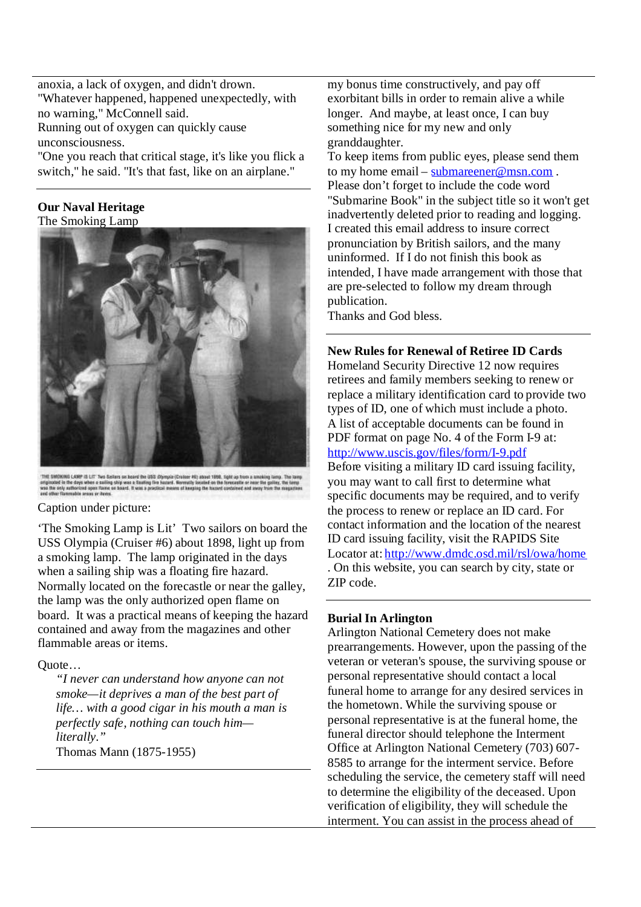anoxia, a lack of oxygen, and didn't drown. "Whatever happened, happened unexpectedly, with no warning," McConnell said. Running out of oxygen can quickly cause

unconsciousness.

"One you reach that critical stage, it's like you flick a switch," he said. "It's that fast, like on an airplane."

# **Our Naval Heritage**

The Smoking Lamp



This SMONING LANP IS LIT Two Sadiers on heard the USS *Diyemale (Craiter HS) about 1958*, light up from a awayking larry. Toriginated in the days when a stating ship was a Sadiery of the days when a stating ship was a Sadi

#### Caption under picture:

'The Smoking Lamp is Lit' Two sailors on board the USS Olympia (Cruiser #6) about 1898, light up from a smoking lamp. The lamp originated in the days when a sailing ship was a floating fire hazard. Normally located on the forecastle or near the galley, the lamp was the only authorized open flame on board. It was a practical means of keeping the hazard contained and away from the magazines and other flammable areas or items.

### Quote…

*"I never can understand how anyone can not smoke—it deprives a man of the best part of life… with a good cigar in his mouth a man is perfectly safe, nothing can touch him literally."* Thomas Mann (1875-1955)

my bonus time constructively, and pay off exorbitant bills in order to remain alive a while longer. And maybe, at least once, I can buy something nice for my new and only granddaughter.

To keep items from public eyes, please send them to my home email – submareener@msn.com. Please don't forget to include the code word "Submarine Book" in the subject title so it won't get inadvertently deleted prior to reading and logging. I created this email address to insure correct pronunciation by British sailors, and the many uninformed. If I do not finish this book as intended, I have made arrangement with those that are pre-selected to follow my dream through publication.

Thanks and God bless.

### **New Rules for Renewal of Retiree ID Cards**

Homeland Security Directive 12 now requires retirees and family members seeking to renew or replace a military identification card to provide two types of ID, one of which must include a photo. A list of acceptable documents can be found in PDF format on page No. 4 of the Form I-9 at: http://www.uscis.gov/files/form/I-9.pdf Before visiting a military ID card issuing facility, you may want to call first to determine what specific documents may be required, and to verify the process to renew or replace an ID card. For contact information and the location of the nearest ID card issuing facility, visit the RAPIDS Site Locator at: http://www.dmdc.osd.mil/rsl/owa/home . On this website, you can search by city, state or ZIP code.

### **Burial In Arlington**

Arlington National Cemetery does not make prearrangements. However, upon the passing of the veteran or veteran's spouse, the surviving spouse or personal representative should contact a local funeral home to arrange for any desired services in the hometown. While the surviving spouse or personal representative is at the funeral home, the funeral director should telephone the Interment Office at Arlington National Cemetery (703) 607- 8585 to arrange for the interment service. Before scheduling the service, the cemetery staff will need to determine the eligibility of the deceased. Upon verification of eligibility, they will schedule the interment. You can assist in the process ahead of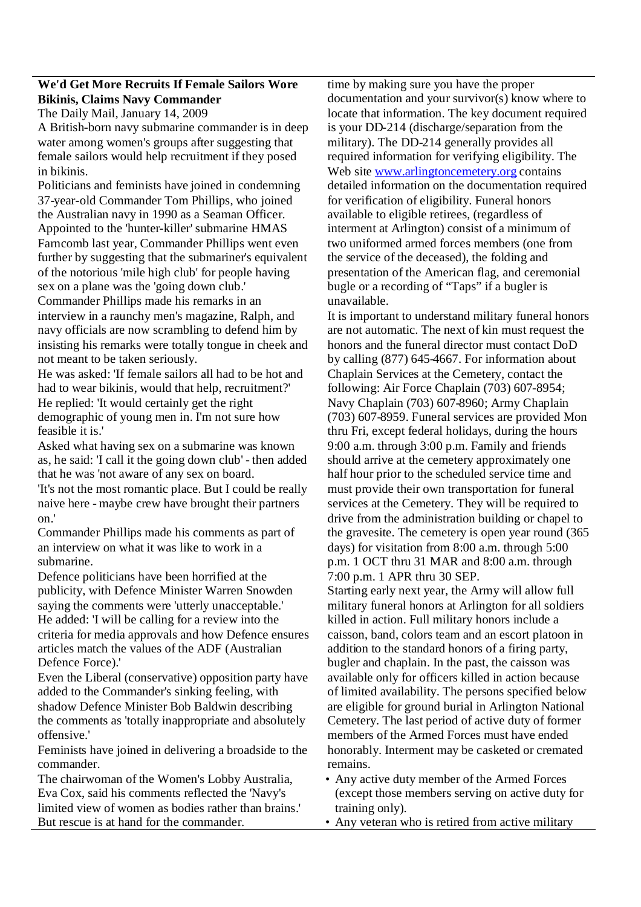## **We'd Get More Recruits If Female Sailors Wore Bikinis, Claims Navy Commander**

The Daily Mail, January 14, 2009

A British-born navy submarine commander is in deep water among women's groups after suggesting that female sailors would help recruitment if they posed in bikinis.

Politicians and feminists have joined in condemning 37-year-old Commander Tom Phillips, who joined the Australian navy in 1990 as a Seaman Officer. Appointed to the 'hunter-killer' submarine HMAS Farncomb last year, Commander Phillips went even further by suggesting that the submariner's equivalent of the notorious 'mile high club' for people having sex on a plane was the 'going down club.' Commander Phillips made his remarks in an interview in a raunchy men's magazine, Ralph, and navy officials are now scrambling to defend him by insisting his remarks were totally tongue in cheek and not meant to be taken seriously.

He was asked: 'If female sailors all had to be hot and had to wear bikinis, would that help, recruitment?' He replied: 'It would certainly get the right demographic of young men in. I'm not sure how feasible it is.'

Asked what having sex on a submarine was known as, he said: 'I call it the going down club' - then added that he was 'not aware of any sex on board. 'It's not the most romantic place. But I could be really

naive here - maybe crew have brought their partners on.'

Commander Phillips made his comments as part of an interview on what it was like to work in a submarine.

Defence politicians have been horrified at the publicity, with Defence Minister Warren Snowden saying the comments were 'utterly unacceptable.' He added: 'I will be calling for a review into the criteria for media approvals and how Defence ensures articles match the values of the ADF (Australian Defence Force).'

Even the Liberal (conservative) opposition party have added to the Commander's sinking feeling, with shadow Defence Minister Bob Baldwin describing the comments as 'totally inappropriate and absolutely offensive.'

Feminists have joined in delivering a broadside to the commander.

The chairwoman of the Women's Lobby Australia, Eva Cox, said his comments reflected the 'Navy's limited view of women as bodies rather than brains.' But rescue is at hand for the commander.

time by making sure you have the proper documentation and your survivor(s) know where to locate that information. The key document required is your DD-214 (discharge/separation from the military). The DD-214 generally provides all required information for verifying eligibility. The Web site www.arlingtoncemetery.org contains detailed information on the documentation required for verification of eligibility. Funeral honors available to eligible retirees, (regardless of interment at Arlington) consist of a minimum of two uniformed armed forces members (one from the service of the deceased), the folding and presentation of the American flag, and ceremonial bugle or a recording of "Taps" if a bugler is unavailable.

It is important to understand military funeral honors are not automatic. The next of kin must request the honors and the funeral director must contact DoD by calling (877) 645-4667. For information about Chaplain Services at the Cemetery, contact the following: Air Force Chaplain (703) 607-8954; Navy Chaplain (703) 607-8960; Army Chaplain (703) 607-8959. Funeral services are provided Mon thru Fri, except federal holidays, during the hours 9:00 a.m. through 3:00 p.m. Family and friends should arrive at the cemetery approximately one half hour prior to the scheduled service time and must provide their own transportation for funeral services at the Cemetery. They will be required to drive from the administration building or chapel to the gravesite. The cemetery is open year round (365 days) for visitation from 8:00 a.m. through 5:00 p.m. 1 OCT thru 31 MAR and 8:00 a.m. through 7:00 p.m. 1 APR thru 30 SEP.

Starting early next year, the Army will allow full military funeral honors at Arlington for all soldiers killed in action. Full military honors include a caisson, band, colors team and an escort platoon in addition to the standard honors of a firing party, bugler and chaplain. In the past, the caisson was available only for officers killed in action because of limited availability. The persons specified below are eligible for ground burial in Arlington National Cemetery. The last period of active duty of former members of the Armed Forces must have ended honorably. Interment may be casketed or cremated remains.

- Any active duty member of the Armed Forces (except those members serving on active duty for training only).
- Any veteran who is retired from active military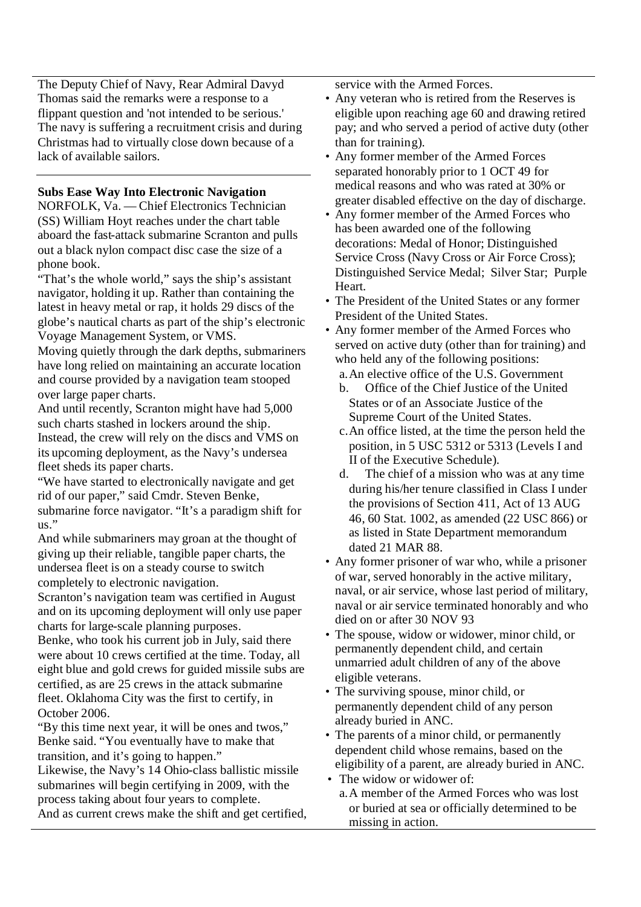The Deputy Chief of Navy, Rear Admiral Davyd Thomas said the remarks were a response to a flippant question and 'not intended to be serious.' The navy is suffering a recruitment crisis and during Christmas had to virtually close down because of a lack of available sailors.

# **Subs Ease Way Into Electronic Navigation**

NORFOLK, Va. — Chief Electronics Technician (SS) William Hoyt reaches under the chart table aboard the fast-attack submarine Scranton and pulls out a black nylon compact disc case the size of a phone book.

"That's the whole world," says the ship's assistant navigator, holding it up. Rather than containing the latest in heavy metal or rap, it holds 29 discs of the globe's nautical charts as part of the ship's electronic Voyage Management System, or VMS.

Moving quietly through the dark depths, submariners have long relied on maintaining an accurate location and course provided by a navigation team stooped over large paper charts.

And until recently, Scranton might have had 5,000 such charts stashed in lockers around the ship. Instead, the crew will rely on the discs and VMS on its upcoming deployment, as the Navy's undersea fleet sheds its paper charts.

"We have started to electronically navigate and get rid of our paper," said Cmdr. Steven Benke, submarine force navigator. "It's a paradigm shift for us."

And while submariners may groan at the thought of giving up their reliable, tangible paper charts, the undersea fleet is on a steady course to switch completely to electronic navigation.

Scranton's navigation team was certified in August and on its upcoming deployment will only use paper charts for large-scale planning purposes.

Benke, who took his current job in July, said there were about 10 crews certified at the time. Today, all eight blue and gold crews for guided missile subs are certified, as are 25 crews in the attack submarine fleet. Oklahoma City was the first to certify, in October 2006.

"By this time next year, it will be ones and twos," Benke said. "You eventually have to make that transition, and it's going to happen."

Likewise, the Navy's 14 Ohio-class ballistic missile submarines will begin certifying in 2009, with the process taking about four years to complete. And as current crews make the shift and get certified, service with the Armed Forces.

- Any veteran who is retired from the Reserves is eligible upon reaching age 60 and drawing retired pay; and who served a period of active duty (other than for training).
- Any former member of the Armed Forces separated honorably prior to 1 OCT 49 for medical reasons and who was rated at 30% or greater disabled effective on the day of discharge.
- Any former member of the Armed Forces who has been awarded one of the following decorations: Medal of Honor; Distinguished Service Cross (Navy Cross or Air Force Cross); Distinguished Service Medal; Silver Star; Purple Heart.
- The President of the United States or any former President of the United States.
- Any former member of the Armed Forces who served on active duty (other than for training) and who held any of the following positions:
	- a.An elective office of the U.S. Government
	- b. Office of the Chief Justice of the United States or of an Associate Justice of the Supreme Court of the United States.
	- c.An office listed, at the time the person held the position, in 5 USC 5312 or 5313 (Levels I and II of the Executive Schedule).
	- d. The chief of a mission who was at any time during his/her tenure classified in Class I under the provisions of Section 411, Act of 13 AUG 46, 60 Stat. 1002, as amended (22 USC 866) or as listed in State Department memorandum dated 21 MAR 88.
- Any former prisoner of war who, while a prisoner of war, served honorably in the active military, naval, or air service, whose last period of military, naval or air service terminated honorably and who died on or after 30 NOV 93
- The spouse, widow or widower, minor child, or permanently dependent child, and certain unmarried adult children of any of the above eligible veterans.
- The surviving spouse, minor child, or permanently dependent child of any person already buried in ANC.
- The parents of a minor child, or permanently dependent child whose remains, based on the eligibility of a parent, are already buried in ANC.
- The widow or widower of: a.A member of the Armed Forces who was lost or buried at sea or officially determined to be missing in action.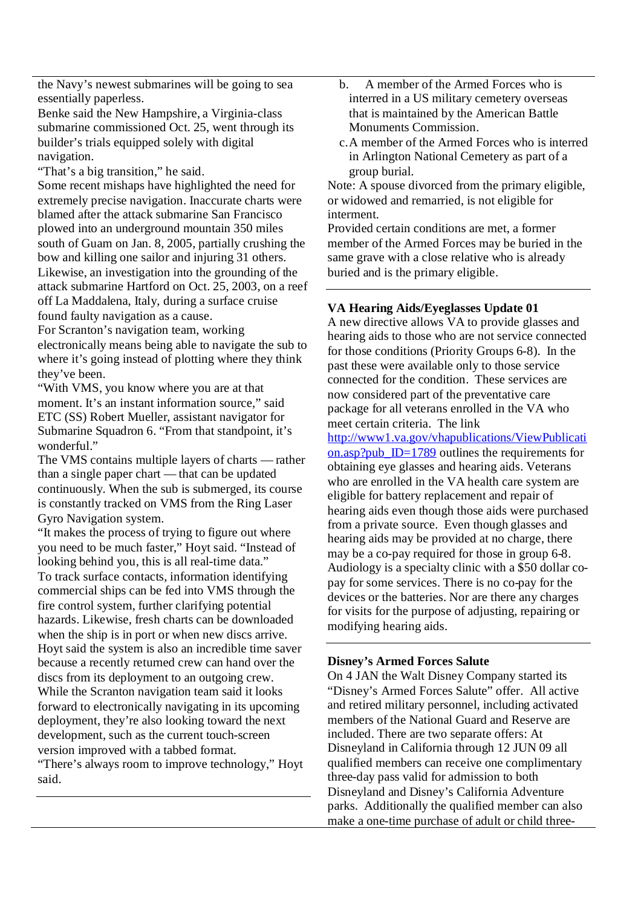the Navy's newest submarines will be going to sea essentially paperless.

Benke said the New Hampshire, a Virginia-class submarine commissioned Oct. 25, went through its builder's trials equipped solely with digital navigation.

"That's a big transition," he said.

Some recent mishaps have highlighted the need for extremely precise navigation. Inaccurate charts were blamed after the attack submarine San Francisco plowed into an underground mountain 350 miles south of Guam on Jan. 8, 2005, partially crushing the bow and killing one sailor and injuring 31 others. Likewise, an investigation into the grounding of the attack submarine Hartford on Oct. 25, 2003, on a reef off La Maddalena, Italy, during a surface cruise found faulty navigation as a cause. For Scranton's navigation team, working

electronically means being able to navigate the sub to where it's going instead of plotting where they think they've been.

"With VMS, you know where you are at that moment. It's an instant information source," said ETC (SS) Robert Mueller, assistant navigator for Submarine Squadron 6. "From that standpoint, it's wonderful."

The VMS contains multiple layers of charts — rather than a single paper chart — that can be updated continuously. When the sub is submerged, its course is constantly tracked on VMS from the Ring Laser Gyro Navigation system.

"It makes the process of trying to figure out where you need to be much faster," Hoyt said. "Instead of looking behind you, this is all real-time data." To track surface contacts, information identifying commercial ships can be fed into VMS through the fire control system, further clarifying potential hazards. Likewise, fresh charts can be downloaded when the ship is in port or when new discs arrive. Hoyt said the system is also an incredible time saver because a recently returned crew can hand over the discs from its deployment to an outgoing crew. While the Scranton navigation team said it looks forward to electronically navigating in its upcoming deployment, they're also looking toward the next development, such as the current touch-screen version improved with a tabbed format.

"There's always room to improve technology," Hoyt said.

- b. A member of the Armed Forces who is interred in a US military cemetery overseas that is maintained by the American Battle Monuments Commission.
- c.A member of the Armed Forces who is interred in Arlington National Cemetery as part of a group burial.

Note: A spouse divorced from the primary eligible, or widowed and remarried, is not eligible for interment.

Provided certain conditions are met, a former member of the Armed Forces may be buried in the same grave with a close relative who is already buried and is the primary eligible.

# **VA Hearing Aids/Eyeglasses Update 01**

A new directive allows VA to provide glasses and hearing aids to those who are not service connected for those conditions (Priority Groups 6-8). In the past these were available only to those service connected for the condition. These services are now considered part of the preventative care package for all veterans enrolled in the VA who meet certain criteria. The link

http://www1.va.gov/vhapublications/ViewPublicati on.asp?pub  $ID=1789$  outlines the requirements for obtaining eye glasses and hearing aids. Veterans who are enrolled in the VA health care system are eligible for battery replacement and repair of hearing aids even though those aids were purchased from a private source. Even though glasses and hearing aids may be provided at no charge, there may be a co-pay required for those in group 6-8. Audiology is a specialty clinic with a \$50 dollar copay for some services. There is no co-pay for the devices or the batteries. Nor are there any charges for visits for the purpose of adjusting, repairing or modifying hearing aids.

### **Disney's Armed Forces Salute**

On 4 JAN the Walt Disney Company started its "Disney's Armed Forces Salute" offer. All active and retired military personnel, including activated members of the National Guard and Reserve are included. There are two separate offers: At Disneyland in California through 12 JUN 09 all qualified members can receive one complimentary three-day pass valid for admission to both Disneyland and Disney's California Adventure parks. Additionally the qualified member can also make a one-time purchase of adult or child three-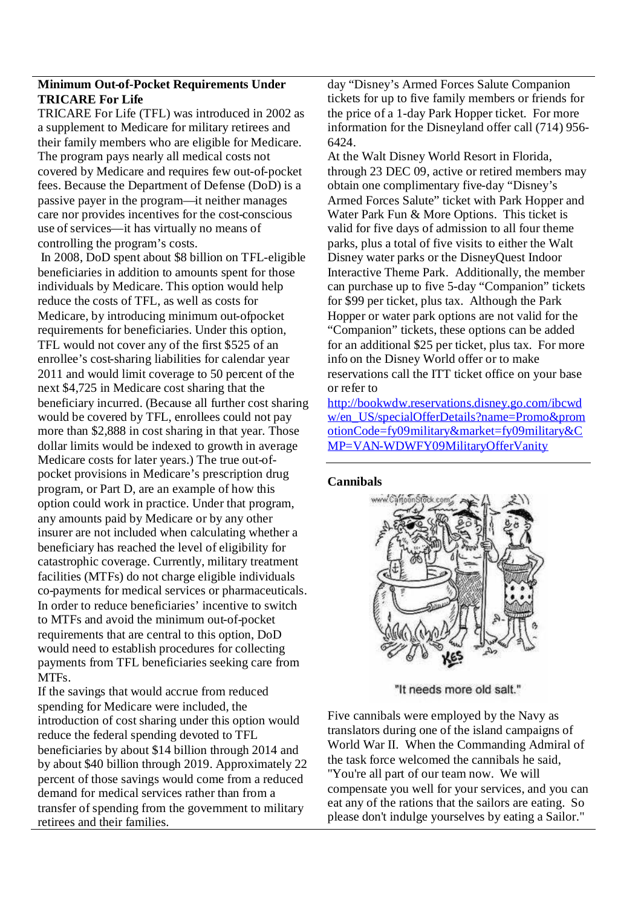# **Minimum Out-of-Pocket Requirements Under TRICARE For Life**

TRICARE For Life (TFL) was introduced in 2002 as a supplement to Medicare for military retirees and their family members who are eligible for Medicare. The program pays nearly all medical costs not covered by Medicare and requires few out-of-pocket fees. Because the Department of Defense (DoD) is a passive payer in the program—it neither manages care nor provides incentives for the cost-conscious use of services—it has virtually no means of controlling the program's costs.

In 2008, DoD spent about \$8 billion on TFL-eligible beneficiaries in addition to amounts spent for those individuals by Medicare. This option would help reduce the costs of TFL, as well as costs for Medicare, by introducing minimum out-ofpocket requirements for beneficiaries. Under this option, TFL would not cover any of the first \$525 of an enrollee's cost-sharing liabilities for calendar year 2011 and would limit coverage to 50 percent of the next \$4,725 in Medicare cost sharing that the beneficiary incurred. (Because all further cost sharing would be covered by TFL, enrollees could not pay more than \$2,888 in cost sharing in that year. Those dollar limits would be indexed to growth in average Medicare costs for later years.) The true out-ofpocket provisions in Medicare's prescription drug program, or Part D, are an example of how this option could work in practice. Under that program, any amounts paid by Medicare or by any other insurer are not included when calculating whether a beneficiary has reached the level of eligibility for catastrophic coverage. Currently, military treatment facilities (MTFs) do not charge eligible individuals co-payments for medical services or pharmaceuticals. In order to reduce beneficiaries' incentive to switch to MTFs and avoid the minimum out-of-pocket requirements that are central to this option, DoD would need to establish procedures for collecting payments from TFL beneficiaries seeking care from MTFs.

If the savings that would accrue from reduced spending for Medicare were included, the introduction of cost sharing under this option would reduce the federal spending devoted to TFL beneficiaries by about \$14 billion through 2014 and by about \$40 billion through 2019. Approximately 22 percent of those savings would come from a reduced demand for medical services rather than from a transfer of spending from the government to military retirees and their families.

day "Disney's Armed Forces Salute Companion tickets for up to five family members or friends for the price of a 1-day Park Hopper ticket. For more information for the Disneyland offer call (714) 956- 6424.

At the Walt Disney World Resort in Florida, through 23 DEC 09, active or retired members may obtain one complimentary five-day "Disney's Armed Forces Salute" ticket with Park Hopper and Water Park Fun & More Options. This ticket is valid for five days of admission to all four theme parks, plus a total of five visits to either the Walt Disney water parks or the DisneyQuest Indoor Interactive Theme Park. Additionally, the member can purchase up to five 5-day "Companion" tickets for \$99 per ticket, plus tax. Although the Park Hopper or water park options are not valid for the "Companion" tickets, these options can be added for an additional \$25 per ticket, plus tax. For more info on the Disney World offer or to make reservations call the ITT ticket office on your base or refer to

http://bookwdw.reservations.disney.go.com/ibcwd w/en\_US/specialOfferDetails?name=Promo&prom otionCode=fy09military&market=fy09military&C MP=VAN-WDWFY09MilitaryOfferVanity

### **Cannibals**



"It needs more old salt."

Five cannibals were employed by the Navy as translators during one of the island campaigns of World War II. When the Commanding Admiral of the task force welcomed the cannibals he said, "You're all part of our team now. We will compensate you well for your services, and you can eat any of the rations that the sailors are eating. So please don't indulge yourselves by eating a Sailor."